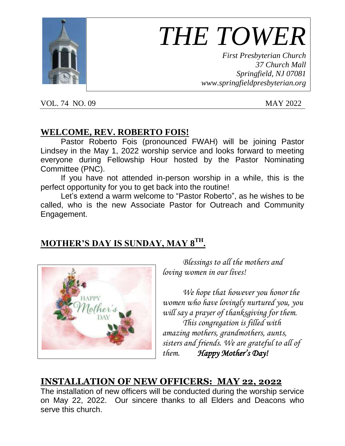

# *THE TOWER*

*First Presbyterian Church 37 Church Mall Springfield, NJ 07081 www.springfieldpresbyterian.org*

VOL. 74 NO. 09 MAY 2022

#### **WELCOME, REV. ROBERTO FOIS!**

Pastor Roberto Fois (pronounced FWAH) will be joining Pastor Lindsey in the May 1, 2022 worship service and looks forward to meeting everyone during Fellowship Hour hosted by the Pastor Nominating Committee (PNC).

If you have not attended in-person worship in a while, this is the perfect opportunity for you to get back into the routine!

Let's extend a warm welcome to "Pastor Roberto", as he wishes to be called, who is the new Associate Pastor for Outreach and Community Engagement.

# **MOTHER'S DAY IS SUNDAY, MAY 8 TH .**



*Blessings to all the mothers and loving women in our lives!*

*We hope that however you honor the women who have lovingly nurtured you, you will say a prayer of thanksgiving for them. This congregation is filled with amazing mothers, grandmothers, aunts, sisters and friends. We are grateful to all of them. Happy Mother's Day!* 

#### **INSTALLATION OF NEW OFFICERS: MAY 22, 2022**

The installation of new officers will be conducted during the worship service on May 22, 2022. Our sincere thanks to all Elders and Deacons who serve this church.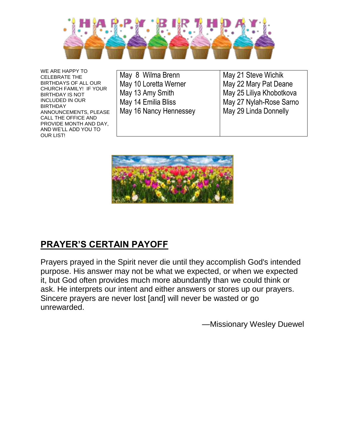

WE ARE HAPPY TO CELEBRATE THE BIRTHDAYS OF ALL OUR CHURCH FAMILY! IF YOUR BIRTHDAY IS NOT INCLUDED IN OUR BIRTHDAY ANNOUNCEMENTS, PLEASE CALL THE OFFICE AND PROVIDE MONTH AND DAY, AND WE'LL ADD YOU TO OUR LIST!

|  | May 8 Wilma Brenn      |
|--|------------------------|
|  | May 10 Loretta Werner  |
|  | May 13 Amy Smith       |
|  | May 14 Emilia Bliss    |
|  | May 16 Nancy Hennessey |
|  |                        |

May 21 Steve Wichik May 22 Mary Pat Deane May 25 Liliya Khobotkova May 27 Nylah-Rose Sarno May 29 Linda Donnelly



# **PRAYER'S CERTAIN PAYOFF**

Prayers prayed in the Spirit never die until they accomplish God's intended purpose. His answer may not be what we expected, or when we expected it, but God often provides much more abundantly than we could think or ask. He interprets our intent and either answers or stores up our prayers. Sincere prayers are never lost [and] will never be wasted or go unrewarded.

—Missionary Wesley Duewel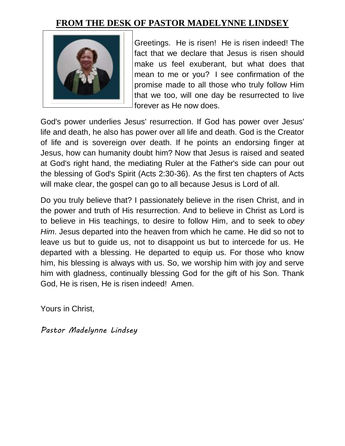#### **FROM THE DESK OF PASTOR MADELYNNE LINDSEY**



Greetings. He is risen! He is risen indeed! The fact that we declare that Jesus is risen should make us feel exuberant, but what does that mean to me or you? I see confirmation of the promise made to all those who truly follow Him that we too, will one day be resurrected to live forever as He now does.

God's power underlies Jesus' resurrection. If God has power over Jesus' life and death, he also has power over all life and death. God is the Creator of life and is sovereign over death. If he points an endorsing finger at Jesus, how can humanity doubt him? Now that Jesus is raised and seated at God's right hand, the mediating Ruler at the Father's side can pour out the blessing of God's Spirit (Acts 2:30-36). As the first ten chapters of Acts will make clear, the gospel can go to all because Jesus is Lord of all.

Do you truly believe that? I passionately believe in the risen Christ, and in the power and truth of His resurrection. And to believe in Christ as Lord is to believe in His teachings, to desire to follow Him, and to seek to *obey Him*. Jesus departed into the heaven from which he came. He did so not to leave us but to guide us, not to disappoint us but to intercede for us. He departed with a blessing. He departed to equip us. For those who know him, his blessing is always with us. So, we worship him with joy and serve him with gladness, continually blessing God for the gift of his Son. Thank God, He is risen, He is risen indeed! Amen.

Yours in Christ,

*Pastor Madelynne Lindsey*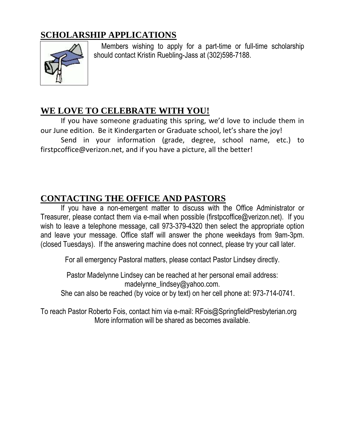### **SCHOLARSHIP APPLICATIONS**



Members wishing to apply for a part-time or full-time scholarship should contact Kristin Ruebling-Jass at (302)598-7188.

#### **WE LOVE TO CELEBRATE WITH YOU!**

If you have someone graduating this spring, we'd love to include them in our June edition. Be it Kindergarten or Graduate school, let's share the joy!

Send in your information (grade, degree, school name, etc.) to firstpcoffice@verizon.net, and if you have a picture, all the better!

#### **CONTACTING THE OFFICE AND PASTORS**

If you have a non-emergent matter to discuss with the Office Administrator or Treasurer, please contact them via e-mail when possible (firstpcoffice@verizon.net). If you wish to leave a telephone message, call 973-379-4320 then select the appropriate option and leave your message. Office staff will answer the phone weekdays from 9am-3pm. (closed Tuesdays). If the answering machine does not connect, please try your call later. ľ

For all emergency Pastoral matters, please contact Pastor Lindsey directly.

Pastor Madelynne Lindsey can be reached at her personal email address: madelynne\_lindsey@yahoo.com. She can also be reached (by voice or by text) on her cell phone at: 973-714-0741.

To reach Pastor Roberto Fois, contact him via e-mail: RFois@SpringfieldPresbyterian.org More information will be shared as becomes available.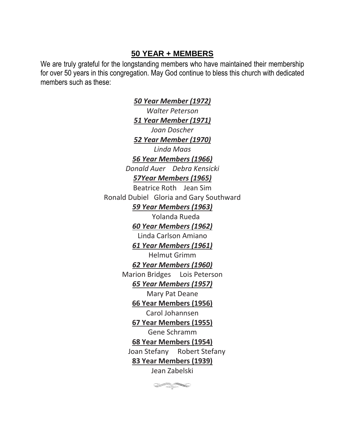#### **50 YEAR + MEMBERS**

We are truly grateful for the longstanding members who have maintained their membership for over 50 years in this congregation. May God continue to bless this church with dedicated members such as these:

> *50 Year Member (1972) Walter Peterson 51 Year Member (1971) Joan Doscher 52 Year Member (1970) Linda Maas 56 Year Members (1966) Donald Auer Debra Kensicki 57Year Members (1965)* Beatrice Roth Jean Sim Ronald Dubiel Gloria and Gary Southward *59 Year Members (1963)* Yolanda Rueda *60 Year Members (1962)* Linda Carlson Amiano *61 Year Members (1961)* Helmut Grimm *62 Year Members (1960)* Marion Bridges Lois Peterson *65 Year Members (1957)* Mary Pat Deane **66 Year Members (1956)**  Carol Johannsen **67 Year Members (1955)** Gene Schramm **68 Year Members (1954)** Joan Stefany Robert Stefany **83 Year Members (1939)** Jean Zabelski

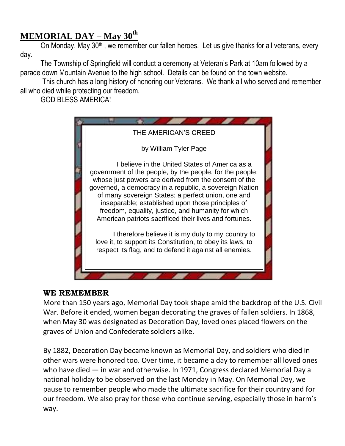### **MEMORIAL DAY – May 30 th**

On Monday, May 30<sup>th</sup>, we remember our fallen heroes. Let us give thanks for all veterans, every day.

The Township of Springfield will conduct a ceremony at Veteran's Park at 10am followed by a parade down Mountain Avenue to the high school. Details can be found on the town website.

This church has a long history of honoring our Veterans. We thank all who served and remember all who died while protecting our freedom.

GOD BLESS AMERICA!



#### **WE REMEMBER**

More than 150 years ago, Memorial Day took shape amid the backdrop of the U.S. Civil War. Before it ended, women began decorating the graves of fallen soldiers. In 1868, when May 30 was designated as Decoration Day, loved ones placed flowers on the graves of Union and Confederate soldiers alike.

By 1882, Decoration Day became known as Memorial Day, and soldiers who died in other wars were honored too. Over time, it became a day to remember all loved ones who have died — in war and otherwise. In 1971, Congress declared Memorial Day a national holiday to be observed on the last Monday in May. On Memorial Day, we pause to remember people who made the ultimate sacrifice for their country and for our freedom. We also pray for those who continue serving, especially those in harm's way.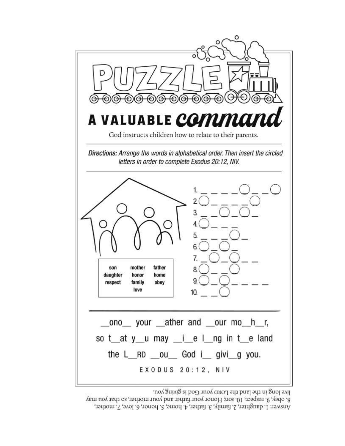

live long in the land the LORD your God is giving you.

8. obey, 9. respect, 10. son; Honor your father and your mother, so that you may Answer: 1. daughter, 2. family, 3. father, 4. home, 5. honor, 6. love, 7. mother,